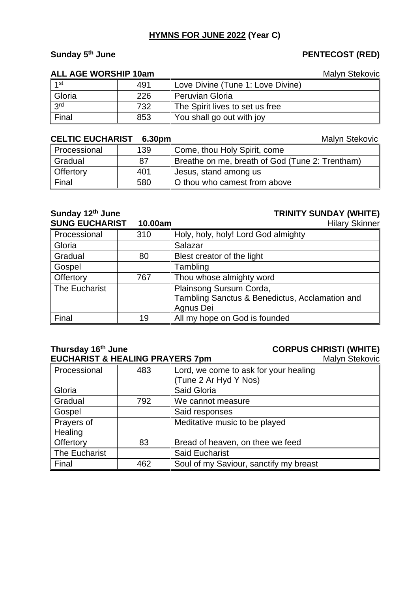# **HYMNS FOR JUNE 2022 (Year C)**

# **Sunday 5**

### **ALL AGE WORSHIP 10am** Malyn Stekovic

| $\vert$ 1 <sup>st</sup> | 491 | Love Divine (Tune 1: Love Divine) |
|-------------------------|-----|-----------------------------------|
| Gloria                  | 226 | <b>Peruvian Gloria</b>            |
| 3 <sup>rd</sup>         | 732 | The Spirit lives to set us free   |
| $\parallel$ Final       | 853 | You shall go out with joy         |

### **CELTIC EUCHARIST 6.30pm** Malyn Stekovic

| Processional          | 139 | Come, thou Holy Spirit, come                    |
|-----------------------|-----|-------------------------------------------------|
| Gradual               | 87  | Breathe on me, breath of God (Tune 2: Trentham) |
| <b>Offertory</b>      | 401 | Jesus, stand among us                           |
| $\mathbin\Vert$ Final | 580 | O thou who camest from above                    |

## **Sunday 12th June TRINITY SUNDAY (WHITE)**

| <b>SUNG EUCHARIST</b> | 10.00am | <b>Hilary Skinner</b>                          |
|-----------------------|---------|------------------------------------------------|
| Processional          | 310     | Holy, holy, holy! Lord God almighty            |
| Gloria                |         | Salazar                                        |
| Gradual               | 80      | Blest creator of the light                     |
| Gospel                |         | Tambling                                       |
| Offertory             | 767     | Thou whose almighty word                       |
| The Eucharist         |         | Plainsong Sursum Corda,                        |
|                       |         | Tambling Sanctus & Benedictus, Acclamation and |
|                       |         | Agnus Dei                                      |
| Final                 | 19      | All my hope on God is founded                  |

# **Thursday 16<sup>th</sup> June<br>
EUCHARIST & HEALING PRAYERS 7pm<br>
Malyn Stekovic EUCHARIST & HEALING PRAYERS 7pm**

| Processional  | 483 | Lord, we come to ask for your healing  |
|---------------|-----|----------------------------------------|
|               |     | (Tune 2 Ar Hyd Y Nos)                  |
| Gloria        |     | Said Gloria                            |
| Gradual       | 792 | We cannot measure                      |
| Gospel        |     | Said responses                         |
| Prayers of    |     | Meditative music to be played          |
| Healing       |     |                                        |
| Offertory     | 83  | Bread of heaven, on thee we feed       |
| The Eucharist |     | Said Eucharist                         |
| Final         | 462 | Soul of my Saviour, sanctify my breast |

# **th June PENTECOST (RED)**